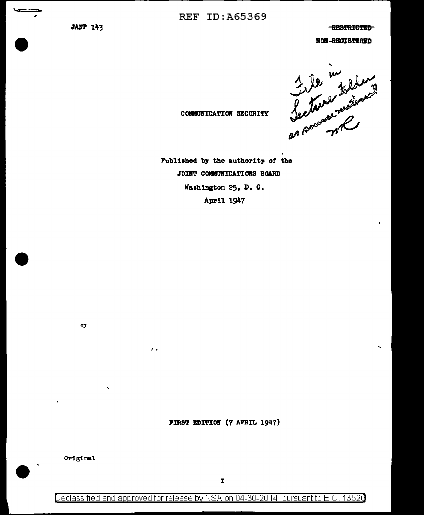**JANP 143** 

REF ID: A65369

**RESTRICTED** 

NON-REGISTERED

1 le messieurs

COMMUNICATION SECURITY

Published by the authority of the JOINT COMMUNICATIONS BOARD Washington 25, D. C. April 1947

්

 $\mathcal{L}$  .

FIRST EDITION (7 APRIL 1947)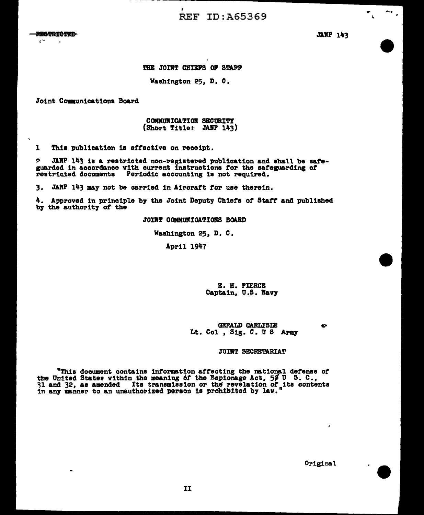RBOTRIOTED  $\overline{1}$ 

 $\mathbf{z}$  is

**JANP 143** 

#### THE JOINT CHIEFS OF STAFF

Washington 25, D. C.

Joint Communications Board

#### COMMUNICATION SECURITY  $(Short\;Title: JAMP\;143)$

 $\mathbf{L}$ This publication is effective on receipt.

? JANP 143 is a restricted non-registered publication and shall be safe-<br>guarded in accordance with current instructions for the safeguarding of restricted documents Periodic accounting is not required.

3. JANP 143 may not be carried in Aircraft for use therein.

4. Approved in principle by the Joint Deputy Chiefs of Staff and published by the authority of the

#### JOINT COMMUNICATIONS BOARD

Washington 25, D. C.

April 1947

E. H. PIERCE Captain, U.S. Navy

**GERALD CARLISIE** Lt. Col, Sig. C. U S Army

JOINT SECRETARIAT

"This document contains information affecting the national defense of<br>the United States within the meaning of the Espionage Act,  $5\cancel{0}$  U S. C.,<br>31 and 32, as amended Its transmission or the revelation of its contents<br>i

Original

 $\bullet$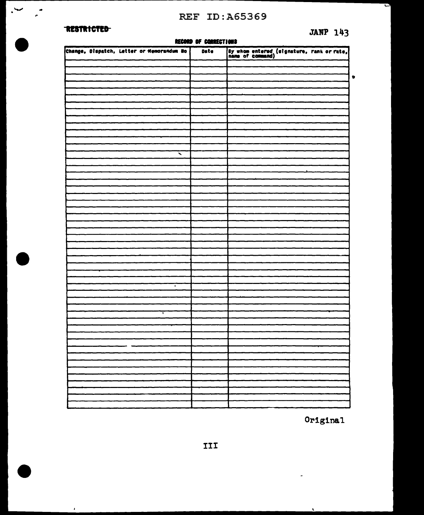### **RESTRICTED**

 $\bullet$ 

 $|\cdot$   $\cdot$ 

 $\bullet$ 

# **JANP 143**

U

| RECORD OF CORRECTIONS |                                            |  |  |                       |      |  |                                           |  |
|-----------------------|--------------------------------------------|--|--|-----------------------|------|--|-------------------------------------------|--|
|                       | Change, Dispatch, Letter or Hemorandum No. |  |  |                       | Date |  | By whom entered (signature, rank or rate, |  |
|                       |                                            |  |  |                       |      |  |                                           |  |
|                       |                                            |  |  |                       |      |  |                                           |  |
|                       |                                            |  |  |                       |      |  |                                           |  |
|                       |                                            |  |  |                       |      |  |                                           |  |
|                       |                                            |  |  |                       |      |  |                                           |  |
|                       |                                            |  |  |                       |      |  |                                           |  |
|                       |                                            |  |  |                       |      |  |                                           |  |
|                       |                                            |  |  |                       |      |  |                                           |  |
|                       |                                            |  |  |                       |      |  |                                           |  |
|                       |                                            |  |  |                       |      |  |                                           |  |
|                       |                                            |  |  |                       |      |  |                                           |  |
|                       |                                            |  |  | $\blacktriangleright$ |      |  |                                           |  |
|                       |                                            |  |  |                       |      |  |                                           |  |
|                       |                                            |  |  |                       |      |  |                                           |  |
|                       |                                            |  |  |                       |      |  |                                           |  |
|                       |                                            |  |  |                       |      |  |                                           |  |
|                       |                                            |  |  |                       |      |  |                                           |  |
|                       |                                            |  |  |                       |      |  |                                           |  |
|                       |                                            |  |  |                       |      |  |                                           |  |
|                       |                                            |  |  |                       |      |  |                                           |  |
|                       |                                            |  |  |                       |      |  |                                           |  |
|                       |                                            |  |  |                       |      |  |                                           |  |
|                       |                                            |  |  |                       |      |  |                                           |  |
|                       |                                            |  |  |                       |      |  |                                           |  |
|                       |                                            |  |  |                       |      |  |                                           |  |
|                       |                                            |  |  |                       |      |  |                                           |  |
|                       |                                            |  |  |                       |      |  |                                           |  |
|                       |                                            |  |  | $\blacksquare$        |      |  |                                           |  |
|                       |                                            |  |  |                       |      |  |                                           |  |
|                       |                                            |  |  |                       |      |  |                                           |  |
|                       |                                            |  |  | т                     |      |  |                                           |  |
|                       |                                            |  |  |                       |      |  |                                           |  |
|                       |                                            |  |  |                       |      |  |                                           |  |
|                       |                                            |  |  |                       |      |  |                                           |  |
|                       |                                            |  |  |                       |      |  |                                           |  |
|                       |                                            |  |  |                       |      |  |                                           |  |
|                       |                                            |  |  |                       |      |  |                                           |  |
|                       |                                            |  |  |                       |      |  |                                           |  |
|                       |                                            |  |  |                       |      |  |                                           |  |
|                       |                                            |  |  |                       |      |  |                                           |  |
|                       |                                            |  |  |                       |      |  |                                           |  |
|                       |                                            |  |  |                       |      |  |                                           |  |
|                       |                                            |  |  |                       |      |  |                                           |  |

Original

 $\overline{a}$ 

 $\mathbf{r}$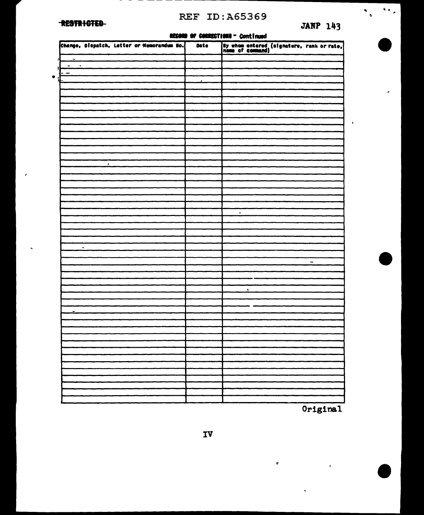### RESTRICTED-

# **JANP 143**

 $\sum_{\mathbf{q} \in \mathcal{Q}} \mathbf{q} \cdot \mathbf{q} \cdot \mathbf{q}$ 

|  | RECORD OF CORRECTIONS - Continued |  |
|--|-----------------------------------|--|
|  |                                   |  |

|                                                           |    | Change, Dispatch, Letter or Hemorandum No. | Date | Sy whom entered (signature, rank or rate, |   |
|-----------------------------------------------------------|----|--------------------------------------------|------|-------------------------------------------|---|
| ֧֧֧֧֧֧֧֧֧֧֧֧֧֧֧֧֧֧֧֧֧֧֧֧֧֧֓֝֓֓<br>֧֧֧֧֜<br>֧֢֧֩<br>$\sim$ |    |                                            |      |                                           |   |
| $ -$<br>$\sim$                                            |    |                                            |      |                                           |   |
| $\ddagger$                                                |    |                                            |      |                                           |   |
|                                                           |    |                                            |      |                                           |   |
|                                                           |    |                                            |      |                                           |   |
|                                                           |    |                                            |      |                                           |   |
|                                                           |    |                                            |      |                                           |   |
|                                                           |    |                                            |      |                                           |   |
|                                                           |    |                                            |      |                                           |   |
|                                                           |    |                                            |      |                                           |   |
|                                                           |    |                                            |      |                                           |   |
|                                                           | ٠. |                                            |      |                                           |   |
|                                                           |    |                                            |      |                                           |   |
|                                                           |    |                                            |      |                                           |   |
|                                                           |    |                                            |      |                                           |   |
|                                                           |    |                                            |      |                                           |   |
|                                                           |    |                                            |      | $\blacksquare$                            |   |
|                                                           |    |                                            |      |                                           |   |
|                                                           |    |                                            |      |                                           |   |
|                                                           |    |                                            |      |                                           |   |
|                                                           | ٠  |                                            |      |                                           |   |
|                                                           |    |                                            |      |                                           | - |
|                                                           |    |                                            |      |                                           |   |
|                                                           |    |                                            |      |                                           |   |
|                                                           |    |                                            |      | $\bullet$                                 |   |
|                                                           |    |                                            |      |                                           |   |
|                                                           |    |                                            |      |                                           |   |
|                                                           |    |                                            |      |                                           |   |
|                                                           |    |                                            |      |                                           |   |
|                                                           |    |                                            |      |                                           |   |
|                                                           |    |                                            |      |                                           |   |
|                                                           |    |                                            |      |                                           |   |
|                                                           |    |                                            |      |                                           |   |
|                                                           |    |                                            |      |                                           |   |
|                                                           |    |                                            |      |                                           |   |
|                                                           |    |                                            |      |                                           |   |
|                                                           |    |                                            |      |                                           |   |

Original

 $\tilde{\mathbf{v}}$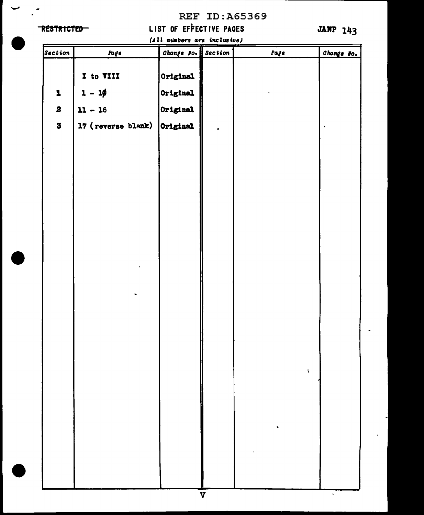RESTRICTED

 $\sim$  .

# REF ID:A65369

### LIST OF EFFECTIVE PAGES  $(112 \text{ m/s} \cdot \text{km})$

**JANP 143** 

T

| Section                 | Page                | Change No. | Section | <b>Page</b> | Change Bo. |
|-------------------------|---------------------|------------|---------|-------------|------------|
|                         | I to VIII           | Original   |         |             |            |
| $\pmb{\mathbb{1}}$      | $1 - 10$            | Original   |         |             |            |
| $\boldsymbol{2}$        | $11 - 16$           | Original   |         |             |            |
| $\overline{\mathbf{3}}$ | 17 (reverse blank)  | Original   |         |             |            |
|                         |                     |            |         |             |            |
|                         |                     |            |         |             |            |
|                         |                     |            |         |             |            |
|                         |                     |            |         |             |            |
|                         |                     |            |         |             |            |
|                         |                     |            |         |             |            |
|                         |                     |            |         |             |            |
|                         | $\pmb{\mathcal{S}}$ |            |         |             |            |
|                         |                     |            |         |             |            |
|                         |                     |            |         |             |            |
|                         |                     |            |         |             |            |
|                         |                     |            |         |             |            |
|                         |                     |            |         |             |            |
|                         |                     |            |         | ۰           |            |
|                         |                     |            |         |             |            |
|                         |                     |            |         |             |            |
|                         |                     |            |         |             |            |
|                         |                     |            |         |             |            |
|                         |                     |            |         |             |            |
|                         |                     |            |         |             |            |
|                         |                     |            |         |             |            |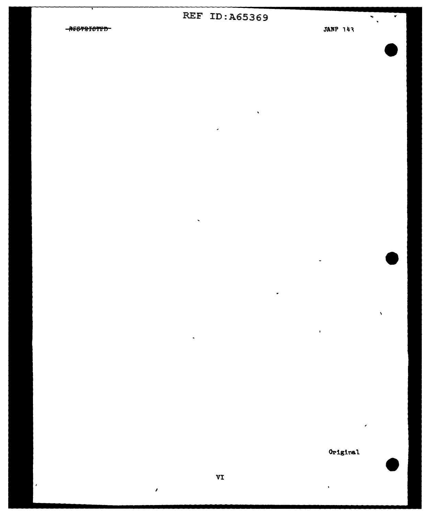$-AE6P8E6P7PD-$ 

 $JANP$   $143$ 

 $\ddot{a}$ 

Original

 $\ddot{\phantom{a}}$ 

 $\pmb{\prime}$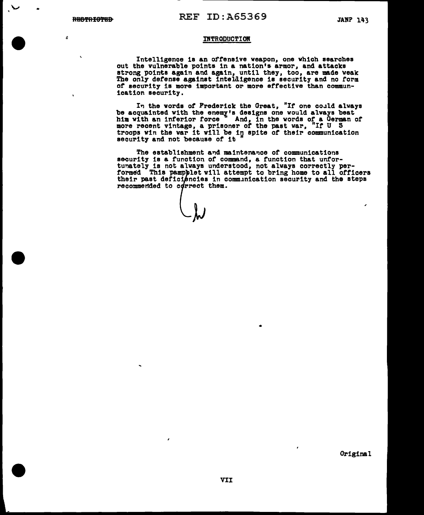$\pmb{c}$ 

•

#### INTRODUCTION

Intelligence is an offensive weapon, one which searches out the vulnerable points in a nation's armor, and attacks strong points again and again, until they, too, are made veak The only defense against inteldigence is security and no form or security is more important or more effective than communication security.

In the words of Frederick the Great, "If one could always be acquainted with the enemy's designs one would always beat him with an inferior force " And, in the words of a German of more recent vintage, a prisoner of the past war, "If U S troops win the war it will be in spite of their communication security and not because of it

The establishment and maintenance of communications security is a function of command, a function that unfor-<br>tunately is not always understood, not always correctly pertunately is not always understood, not always correctly per-<br>formed This pamp let will attempt to bring home to all officers their past deficiencies in communication security and the steps recommended to correct them.

•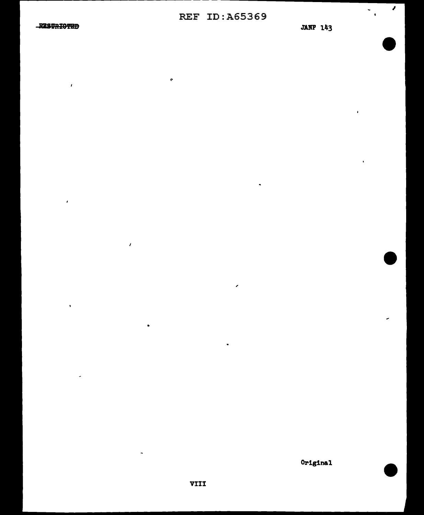**RESTRIOTED** 

ï

 $\cdot$ 

 $\lambda$ 

REF ID:A65369

 $\lambda$ 

 $\tilde{\mathbf{r}}$ 

**JANP 143** 

 $\ddot{\phantom{a}}$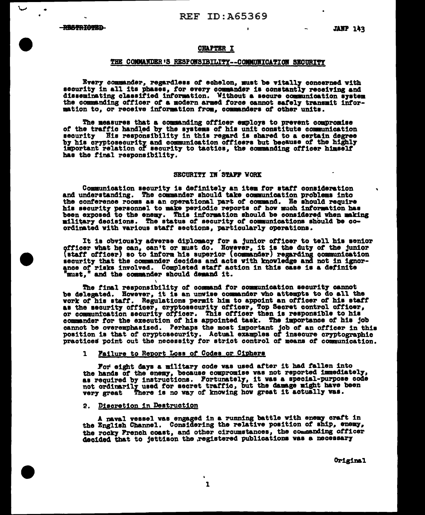-RBBPRTAFRD-

#### CHAPTER I

#### THE COMMANDER'S RESPONSIBILITY--COMMUNICATION SECURITY

Every commander, regardless of echelon, must be vitally concerned with<br>security in all its phases, for every commander is constantly receiving and disseminating classified information. Without a secure communication system the commanding officer of a modern armed force cannot safely transmit information to, or receive information from, commanders of other units.

The measures that a commanding officer employs to prevent compromise of the traffic handled by the systems of his unit constitute communication security His responsibility in this regard is shared to a certain degree by his cryptosecurity and communication officers but because of the highly important relation of security to tactics, the commanding officer himself has the final responsibility.

#### SECURITY IN STAFF VORK

Communication security is definitely an item for staff consideration and understanding. The commander should take communication problems into the conference rooms as an operational part of command. He should require<br>his security personnel to make periodic reports of how much information has<br>been exposed to the enemy. This information should be considered when ma ordinated with various staff sections, particularly operations.

It is obviously adverse diplomacy for a junior officer to tell his senior officer what he can, can't or must do. However, it is the duty of the junior (staff officer) so to inform his superior (commander) regarding communication security that the commander decides and acts with knowledge and not in ignorance of risks involved. Completed staff action in this case is a definite "must," and the commander should demand it.

The final responsibility of command for communication security cannot be delegated. However, it is an unwise commander who attempts to do all the work of his staff. Regulations permit him to appoint an officer of his staff as the security officer, cryptosecurity officer, Top Secret control officer, or communication security officer. This officer then is responsible to his commander for the execution of his appointed task. The importance of his job cannot be overemphasized. Perhaps the most important job of an officer in this position is that of cryptosecurity. Actual examples of insecure cryptographic practices point out the necessity for strict control of means of communication.

#### $\mathbf{1}$ Failure to Report Loss of Codes or Ciphers

For eight days a military code was used after it had fallen into the hands of the enemy, because compromise was not reported immediately, as required by instructions. Fortunately, it was a special-purpose code not ordinarily used for secret traffic, but the damage might have been very great There is no way of knowing how great it actually was.

#### 2. Discretion in Destruction

A naval vessel was engaged in a running battle with enemy craft in the English Channel. Considering the relative position of ship, enemy, the rocky French coast, and other circumstances, the commanding officer decided that to jettison the registered publications was a necessary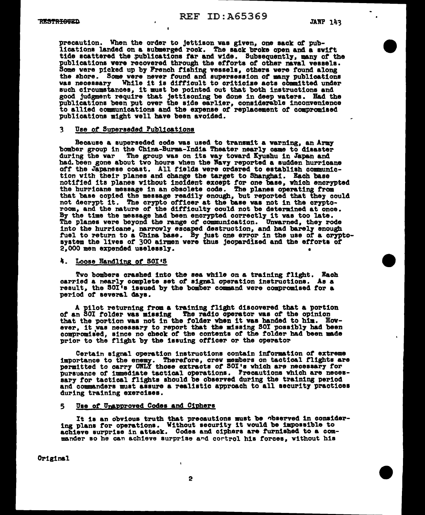precaution. When the order to jettison was given, one sack of pub-<br>lications landed on a submerged rook. The sack broke open and a swift tide scattered the publications far and wide. Subsequently, many of the publications were recovered through the ettorts *ot* other naval veaaels. Some were picked up by French fishing vessels, others were found along the shore. Some were never found and supersession of many publications was necessary While it is difficult to criticize acts committed under such circumstances, it must be pointed out that both instructions and good judsment require that jett1aoning be done in deep watera. Bad the publications been put over the side earlier, considerable inconvenience to allied communication& and the expense *ot* replacement *ot* compromiaed publications might well have been avoided.

#### 3 Use *ot* Superseded Publications

Because a superseded code was used to transmit a warning, an Army bomber group in the China-Burma-India Theater nearly came to disaster during the var The group was on its way toward Kyushu in Japan and had. been gone about two hours when the Navy reported a sudden hurricane *ott* the Japanese coaat. All tielda were ordered to aatablish comuniction with their planes and change the target to Shanghai. Each base notified its planes without incident except for one base, which encrypted the hurricane measage in an obsolete code. The planes operating from that base copied the message readily enough, but reported that they could not decrypt it. The crypto officer at the base was not in the cryptoroom, and the nature *ot* the ditticulty could not be determined at once. room, and the mature of the difficulty could not be determined at once<br>By the time the measage had been encrypted correctly it was too late. The planes were beyond the range of communication. Unwarned, they rode into the hurricane, narrowly escaped destruction, and had barely enough fuel to return to a China base. By just one error in the use of a cryptosyatam the lives or 300 airmen were thus jeopardized and the ettorta *ot*  2,000 men expended uselessl7. •

## 4. Loose Handling of SOI'S

Tvo bombers crashed into the sea Yh1le on a training tllght. Bach carried a nearly complete set *ot* signal operation instructions. As a result, the SOI•a issued b7 the bomber command were compromised *tor* a period of several days.

A pilot returning from a training flight discovered that a portion of an SOI folder was missing The radio operator was of the opinion that the portion was not in the folder when it was handed to him. However, it was necessary to report that the missing SOI possibly had been compromised, since no check of the contents of the folder had been made prior to the flight by the issuing officer or the operator

Certain signal operation instructions contain information of extreme importance to the enemy. Therefore, crew members on tactical flights are permitted to carry ONLY those extracts of SOI's which are necessary for pursuance or immediate tactical operations. Precautions which are necessary for tactical flights should be observed during the training period and commanders must assure a realistic approach to all security practices during training exercises.

#### 5 Use *ot* Unapproved Codes and Ciphers

It is an obvious truth that precautions must be observed in consider-It is an obvious truth that precautions must be woserved in considering plans for operations. Without security it would be impossible to achieve surprise 1n attack. Codes and ciphera are turn1shed to a commander so he can achieve surprise and cortrol his forces, without his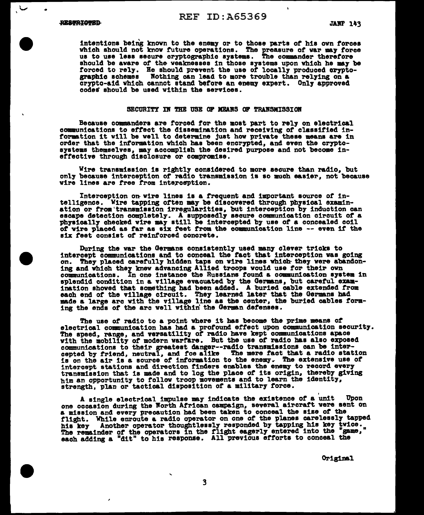•

•

intentions being known to the enemy or to those parts of his own forces which should not know future operations. The preasure of var may force us to use less secure cryptographic systems. The commander therefore should be aware of the weaknesses in those systems upon which he may be forced to rely. He should prevent the use of locally produced cryptographic schemes Nothing can lead to more trouble than relying on a crypto-aid which cannot stand before an enemy expert. Only approved codes should be used within the services.

#### SECURITY IN THE USE OF MEANS OF TRANSMISSION

Because commanders are forced for the most part to rely on electrical communications to effect the dissemination and receiving of classified information it will be well to determine just how private these means are in order that the information which has been encrypted, and even the crypto-systems themselves, may accomplish the desired purpose and not become ineffective through disclosure or compromise.

Wire transmission is rightly considered to more secure than radio, but only because interception of' radio transmission is so much easier, not because vire lines are free from interception.

Interception on wire lines is a frequent and important source of intelligence. Wire tapping often may be discovered through pb7sical examination or from transmission irregularities, but interception by induction can escape detection completely. A supposedly secure communication circuit or a physically checked wire may still be intercepted by use or a concealed coil of wire placed as far as six feet from the communication line -- even if the six feet consist of reinforced concrete.

During the war the Germans consistently used many clever tricks to intercept communications and to conceal the tact that interception vas going on. They placed carefully hidden taps on wire lines which they were abandoning and which they knew advancing Allied troops would use tor their ovn communications. In one instance the Russians found a communication system in splendid condition in a village evacuated by the Germans, but careful examination showed that something had been added. A buried cable extended from each end of the village circuit. They learned later that the Germans had made a large arc with the village line as the center, the buried cables forming the ends or the arc well within the German defenses.

The use of radio to a point where it has become the prime means of electrical communication has had a profound effect upon communication security. The speed, range, and versatility of radio have kept communications apace<br>with the mobility of modern varfare. But the use of radio has also exposed communications to their greatest danger--radio transmissions can be intercepted by friend, neutral, and foe alike The mere fact that a radio station deptied by iriend, heather, and its armor included race change is elected intercept stations and direction finders enables the enemy to record every transmission that is made and to log the place of its origin, thereby giving him an opportunity to follow troop movements and to learn the identity, strength, plan or tactical disposition of a military force.

A single electrical impulse may indicate the existence of a unit Upon one occasion during the North African campaign, several aircraft were sent on a mission and every precaution had been taken to conceal the size of the flight. While enroute a radio operator on one of the planes carelessly tapped his key Another operator thoughtlessly responded by tapping his key twice. The remainder of the operators in the flight eagerly entered into the "game," The remainder of the operators in the flight eagerly entered into the "game,"

Original

3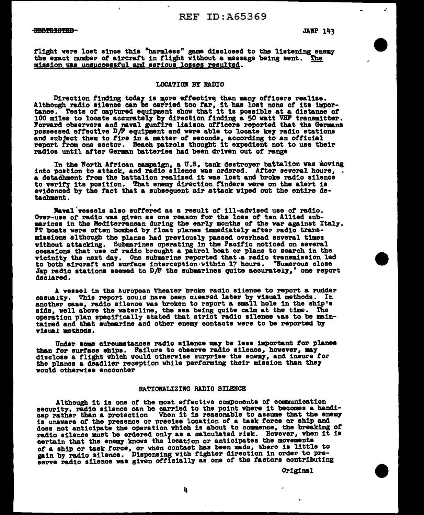•

 $\lambda$ 

flight were lost since this "harmless" game disclosed to the listening enemy the exact number of aircraft in flight without a message being sent. The mission was unsuccessful and serious losses resulted.

#### LOCATION BY RADIO

Direction finding today is more effective than many officers realize. Although radio silence can be car'ried too tar, it has lost none of its importance. Testa of captured equipment show that it ia possible at a distance of 100 milaa to locate accurately by direction finding a 50 watt VBP transmitter. Forward observers and naval guntire liaison otticare reported that the Germana possessed effective D/F equipment and were able to locate key radio stations and subject them to fire in a matter of seconds, according to an official report from one sector. Beach patrols thought it expedient not to use their radios until attar German batteries bad bean driven out *ot* range

In the North African campaign, a U.S. tank destroyer battalion was moving<br>into postion to attack, and radio silence was ordered. After several hours,<br>a detachment from the battalion realized it was lost and broke radio sil to verify its position. That enemy direction finders were on the alert is evidenced by the tact that a aubeequent air attack wiped out the entire detachment.

I

Waval'vesaala also suffered aa a result of ill-advised uae *ot* radio. Over-uee or radio was given aa one reason tor the loaa *ot* ten Allied aubmarines in the Mediterranean during the early months of the war against Italy. PT boats were often bombed by float planes immediately after radio transmiaaiona although the planes bad previously passed overhead several times without attacking. Submarines operating in the Pacific noticed on several occasions that use *ot* radio brought a patrol boat or plane to search in the vicinity the next day. One submarine reported that.a radio tranamiaeton led to both aircraft and surface interception vithin 17 hours. "Numerous close Jap radio stations seemed to D/F the submarines quite accurately, one report declared.

A vessel in the European Theater broke radio silence to report a rudder casualty. This report could have been cleared later by visual methods. In another caae, radio silence vaa broken to report a small hole in the ahip'a aide, well above the waterline, the aea being quite calm at the time. The operation plan specifically stated that strict radio silence was to be maintained and that submarine and other enemy contacts vere to be reported by visual methods.

Under some circumstances radio silence may be less important for planes<br>than for surface ships. Failure to observe radio silence, however, may disclose a flight which would otherwise surprise the enemy, and insure for the planes a deadlier reception while performing their mission than they would otherwise encounter

#### RATIONALIZING RADIO SILENCE

Although it ia one *ot* the moat effective components *ot* communication Although it is one of the most effective components of communication<br>security, radio silence can be carried to the point where it becomes a handisecurity, radio silence can be carried to the point where it becomes a handi-<br>cap rather than a protection When it is reasonable to assume that the enemy ia unaware or the presence or precise location *ot* a taak force or ship and does not anticipate the operation which is about to commence, the breaking of radio silence must be ordered only as a calculated risk. However, when it is certain that the enemy knows the location or anticipates the movements of a ship or task force, or vhen contact has been made, there is little to of a ship or task force, or vhen contact has been made, there is little to gain by radio silence. Dispensing with fighter direction in order to preserve radio silence was given officially as one of the factors contributing

Original •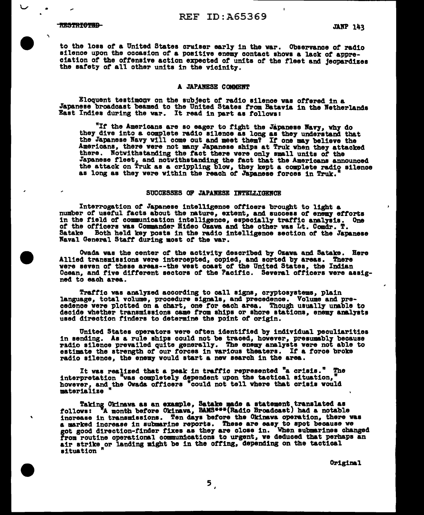#### RESTRICTBD-

 $\bullet$   $\overline{\phantom{a}}$ 

to the loss of a United States cruiser early in the war. Observance of radio silence upon the occasion of a positive enemy contact shows a lack of appreciation of the offensive action expected of units of the fleet and jeopardizes the safety of all other units in the vicinity.

#### A JAPANESE COMMEB'l'

Eloquent testimony on the subject of radio silence was offered in a Japanese broadcast beamed to the United States from Batavia in the Netherlands East Indies during the var. It read in part as follows:

"It the Americans are so eager to tight the Japanese Navy, why do they dive into a complete radio silence as long as they understand that the Japanese Navy will come out and meet them? If one may believe the Americans, there were not many Japanese ships at Truk when they attacked there. Notwithstanding the fact there were only small units of the Japaneae fleet, and notwithatanding the tact that the Americans announced the attack on Truk as a crippling blow, they kept a complete radio silence as long as they were within the reach of Japanese forces in Truk."

#### SUCCESSES OF JAPANESE INTELLIGENCE

Interrogation *ot* Japanese intelligence otticers brought to light a number of useful facts about the nature, extent, and success of enemy efforts in the field of communication intelligence. especially traffic analysis. One in the field of communication intelligence, especially traffic analysis. One *ot* the otticers vaa Commander Bideo Ozawa and the other was Lt. Comdr. T. Satake Both held key posts in the radio intelligence section *ot* the Japanese Waval General Statt during moat *ot* the var.

Ovada was the center *ot* the activity deacribed by Ozava and Satake. Bera Allied transmissions were intercepted, copied, and sorted by areas. There were seven *ot* these apeas--the vest coast *ot* the United States, the Indian Ocean, and five different sectors *ot* the Pacific. Several otticera were aesig- ned to each area.

Traffic was analyzed according to call signs, cryptosystems, plain language, total volume, procedure signals, and precedence. Volume and pre- cedence were plotted on a chart, one for each area. Though usually unable to decide whether transmissions came from ships or shore stations, enemy analysts used direction finders to determine the point of origin.

United States operators were often identified by individual peculiarities in sending. As a rule ships could not be traced, however, presumably because radio silence prevailed quite generally. The enemy analysts were not able to estimate the strength of our forces in various theaters. If a force broke radio silence, the enemy would start a new search in the area.

It was realized that a peak in traffic represented "a crisis." The interpretation "was completely dependent upon the tactical situation," however, and the Owada officers •could not tell where that crisis would materialize<sup>"</sup>

Taking Okinawa as an example, Satake made a statement translated as follows: "A month before Okinawa, BAMS\*\*\*(Radio Broadcast) had a notable increase in transmissions. Ten days before the Okinawa operation, there was a marked increase in aubmarine reports. These are easy to spot because we got good direction-finder fixes as they are close in. 'When submarines changed from routine operational communications to urgent, we deduced that perhaps an air strike or landing might be in the offing, depending on the tactical situation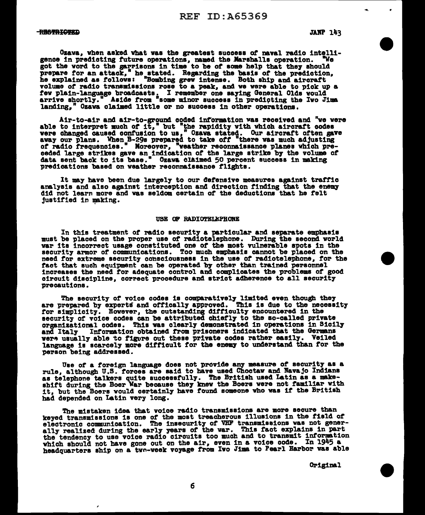#### **RESTRICTED**

**JANP 143** 

Ozava, when asked what was the greatest success of naval radio intelligence in predicting future operations, named the Marshalls operation. We<br>got the word to the garrisons in time to be of some help that they should<br>prepare for an attack," he stated. Regarding the basis of the prediction,<br>h few plain-language broadcasts. I remember one saying General Olds would<br>arrive shortly." Aside from "some minor success in predicting the Ivo Jima<br>landing," Ozava claimed little or no success in other operations.

Air-to-air and air-to-ground coded information was received and "we were<br>able to interpret much of it," but "the rapidity with which aircraft codes<br>were changed caused confusion to us," Ozawa stated. Our aircraft often gav data sent back to its base." Ozawa claimed 50 percent success in making predications based on weather reconnaissance flights.

It may have been due largely to our defensive measures against traffic analysis and also against interception and direction finding that the enemy did not learn more and was seldom certain of the deductions that he felt justified in making.

#### USE OF RADIOTELEPHONE

In this treatment of radio security a particular and separate emphasis must be placed on the proper use of radiotelephone. During the second world war its incorrect usage constituted one of the most vulnerable spots in the security armor of communications. Too much emphasis cannot be placed on the need for extreme security consciousness in the use of radiotelephone, for the fact that such equipment can be operated by other than trained personnel<br>increases the need for adequate control and complicates the problems of good circuit discipline, correct procedure and strict adherence to all security precautions.

The security of voice codes is comparatively limited even though they are prepared by experts and offically approved. This is due to the necessity for simplicity. However, the outstanding difficulty encountered in the security of voice codes can be attributed chiefly to the so-called private organizational codes. This was clearly demonstrated in operations in Sicily and Italy Information obtained from prisoners indicated that the Germans were usually able to figure out these private codes rather easily. Veiled language is scarcely more difficult for the enemy to understand than for the person being addressed.

Use of a foreign language does not provide any measure of security as a rule, although U.S. forces are said to have used Choctaw and Navajo Indians as telephone talkers quite successfully. The British used Latin as a make-<br>shift during the Boer War because they knew the Boers were not familiar with it, but the Boers would certainly have found someone who was if the British had depended on Latin very long.

The mistaken idea that voice radio transmissions are more secure than keyed transmissions is one of the most treacherous illusions in the field of electronic communication. The insecurity of VHF transmissions was not generally realized during the early years of the war. This fact explains in part the tendency to use voice radio circuits too much and to transmit infor which should not have gone out on the air, even in a voice code. In 1945 a headquarters ship on a two-week voyage from Ivo Jima to Pearl Harbor was able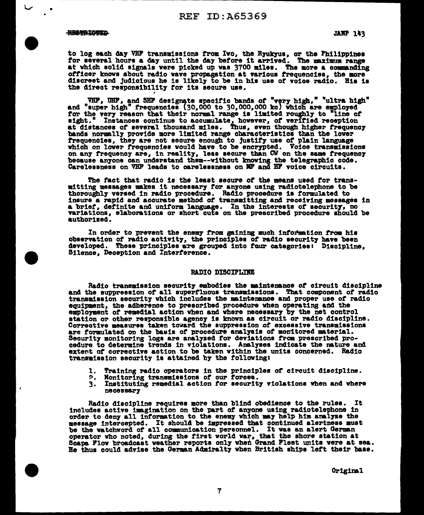#### **ABSTRICTED**

to log each day VHF transmissions from Iwo, the Ryukyus, or the Philippines for several hours a day until the day before it arrived. The maximum range at which solid signals were picked up was 3700 miles. The more a commanding officer knows about radio wave propagation at various frequencies, the more discreet and judicious he is likely to be in his use of voice radio. His is the direct responsibility for its secure use.

VHF, UHF, and SHF designate specific bands of "very high," "ultra high"<br>and "super high" frequencies (30,000 to 30,000,000 kc) which are employed<br>for the very reason that their normal range is limited roughly to "line of<br>s bands normally provide more limited range characteristics than the lower frequencies, they are not secure enough to justify use of plain language<br>which on lower frequencies would have to be encrypted. Voice transmissions on any frequency are, in reality, less secure than CW on the same frequency because anyone can understand them--without knowing the telegraphic code.<br>Carelessness on VHF leads to carelessness on MF and HF voice circuits.

The fact that radio is the least secure of the means used for transmitting messages makes it necessary for anyone using radiotelephone to be thoroughly versed in radio procedure. Radio procedure is formulated to insure a rapid and accurate method of transmitting and receiving messages in a brief, definite and uniform language. In the interests of security, no<br>variations, elaborations or short cuts on the prescribed procedure should be authorized.

In order to prevent the enemy from gaining much information from his observation of radio activity, the principles of radio security have been developed. These principles are grouped into four categories: Discipline. Silence, Deception and Interference.

#### RADIO DISCIPLINE

Radio transmission security embodies the maintenance of circuit discipline and the suppression of all superfluous transmissions. That component of radio transmission security which includes the maintenance and proper use of radio equipment, the adherence to prescribed procedure when operating and the employment of remedial action when and where necessary by the net control station or other responsible agency is known as circuit or radio discipline. Corrective measures taken toward the suppression of excessive transmissions are formulated on the basis of procedure analysis of monitored material. Security monitoring logs are analyzed for deviations from prescribed pro-<br>cedure to determine trends in violations. Analyses indicate the nature and extent of corrective action to be taken within the units concerned. Radio transmission security is attained by the following:

- Training radio operators in the principles of circuit discipline.
- Monitoring transmissions of our forces.  $P_{\bullet}$
- Instituting remedial action for security violations when and where 3. necessary

Radio discipline requires more than blind obedience to the rules. It includes active imagination on the part of anyone using radiotelephone in order to deny all information to the enemy which may help him analyze the message intercepted. It should be impressed that continued alertness must be the vatchword of all communication personnel. It was an alert German operator who noted, during the first world war, that the shore station at Sc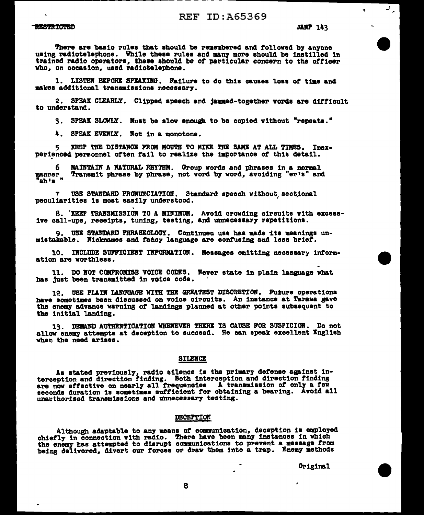#### **RESTRICTED**

**JANP 143** 

∹.

÷

There are basic rules that should be remembered and followed by anyone using radiotelephone. While these rules and many more should be instilled in trained radio operators, these should be of particular concern to the officer who, on occasion, used radiotelephone.

1. LISTEN BEFORE SPEAKING. Failure to do this causes loss of time and makes additional transmissions necessary.

2. SPEAK CLEARLY. Clipped speech and jammed-together words are difficult to understand.

3. SPEAK SLOWLY. Must be slow enough to be copied without "repeats."

4. SPEAK EVENLY. Not in a monotone.

KEEP THE DISTANCE FROM MOUTH TO MIKE THE SAME AT ALL TIMES. Inex-5. perienced personnel often fail to realize the importance of this detail.

MAINTAIN A NATURAL RHYTHM. Group words and phrases in a normal 6 Transmit phrase by phrase, not word by word, avoiding "er's" and manner<br>"ah's"

7 USE STANDARD PRONUNCIATION. Standard speech without sectional peculiarities is most easily understood.

8. KEEP TRANSMISSION TO A MINIMUM. Avoid crowding circuits with excessive call-ups, receipts, tuning, testing, and unnecessary repetitions.

9. USE STANDARD PHRASEOLOGY. Continued use has made its meanings unmistakable. Nicknames and fancy language are confusing and less brief.

10. INCLUDE SUFFICIENT INFORMATION. Messages omitting necessary information are worthless.

11. DO NOT COMPROMISE VOICE CODES. Never state in plain language what has just been transmitted in voice code.

12. USE PLAIN LANGUAGE WITH THE GREATEST DISCRETION. Future operations have sometimes been discussed on voice circuits. An instance at Tarawa gave the enemy advance warning of landings planned at other points subsequent to the initial landing.

13. DEMAND AUTHENTICATION WHENEVER THERE IS CAUSE FOR SUSFICION. Do not allow enemy attempts at deception to succeed. He can speak excellent English when the need arises.

#### SILENCE

As stated previously, radio silence is the primary defense against interception and direction finding. Both interception and direction finding are now effective on nearly all frequencies A transmission of only a few seconds duration is sometimes sufficient for obtaining a bearing. Avoid all unauthorized transmissions and unnecessary testing.

#### **DECEPTION**

Although adaptable to any means of communication, deception is employed chiefly in connection with radio. There have been many instances in which<br>the enemy has attempted to disrupt communications to prevent a message from being delivered, divert our forces or draw them into a trap. Enemy methods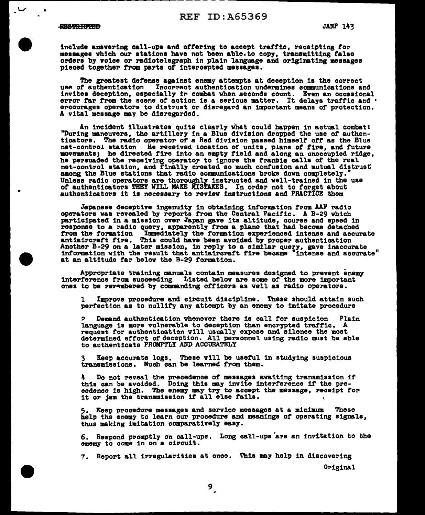•

•

•

include anavering call-upa and ottering to accept trattic, receipting tor measages which our stations have not been able.to copy, transmitting false orders by voice or radiotelegraph in plain language and originating messages pieced together from parts of intercepted messages.

The greatest defense against enemy attempts at deception is the correct use of authentication Incorrect authentication undermines communications and invites deception, especially in combat when seconds count. Even an occasional error tar trom the acene *ot* action is a serious matter. It delays traffic and • ercourages operators to distrust or disregard an important means of protection.<br>A vital message may be disregarded.

An incident illuatratea quite clearly vhat could happen in actual combat: "During maneuvers, the artillery in a Blue division dropped the uae of authenticators. The radio operator of a Red division paased himaelf off aa the Blue net-control station . He received location of units, plans of fire, and future movements; he directed fire into an empty field and along an unoccupied ridge, he persuaded the receiving operator to ignore the frantic calls of the real he persuaded the receiving operator to ignore the frambic calls of the real net-control station, and finally created so much confusion and mutual distrust among the Blue stations that radio communications broke down completely." Unless radio operators are thoroughly instructed and well-trained in the use of authenticators THEY WILL MAKE MISTAKES. In order not to forget about authenticatora it ia neceasary to review inatructiona and PRACTICE them

Japanese deceptive ingenuity in obtaining information from AAF radio operatora waa revealed by reporta from the Central Pacific. A B-29 which participated in a miaaion over Japan gave ita altitude, courae and speed in responae to a radio query, apparently from a plane that had become detached trom the formation Immediately the formation experienced intense and accurate antiaircraft fire. This could have been avoided by proper authentication Another B-29 on a later mission, in reply to a a1milar query, gave inaccurate information vith the reault that antiaircraft fire became "intenae and accurate" at an altitude tar below the B-29 formation.

Appropriate training manuals contain measures designed to prevent enemy interference from succeeding Listed below are some of the more important ones to be remambered by commanding officers as well as radio operators.

1 Improve procedure and circuit diacipl1ne. These should attain such perfection aa to nullify any attempt by an enemy to imitate procedure

Demand authentication whenever there is call for suspicion Plain language is more vulnerable to deception than encrypted traffic. A requeat for authentication vill usually expose and silence the most determined effort of deception. All personnel using radio must be able to authenticate PROMPTLY AWD ACCURATELY

3 Keep accurate logs. These will be useful in studying suspicious transmissions. Much can be learned from them.

4 Do not reveal the precedence of measagea awaiting tranamisaion if thia can be avoided. Doing thia may invite interference if the pre- cedence is high. The enemy may try to accept the mesaage, receipt tor cedence is high. The enemy may try to accept the message, receipt for<br>it or jam the transmission if all else fails.

5. Keep procedure meaaagea and service mesaages at a minimum Theae help the enemy to learn our procedure and meanings *ot* operating signals, thua making imitation comparatively easy.

6. Respond promptly on call-ups. Long call-ups 'are an invitation to the ememy to come in on a circuit.

7. Report all irregularities at once. Thia may help in discovering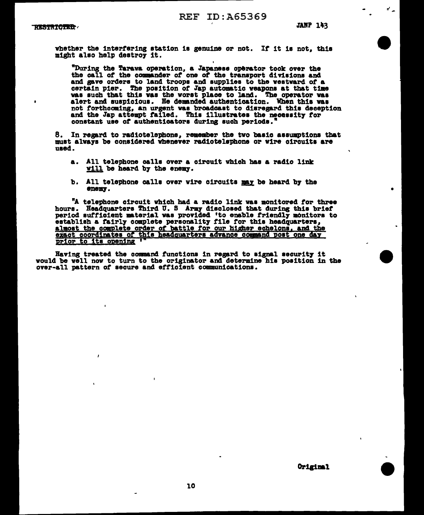**JANP 143** 

whether the interfering station is genuine or not. If it is not, this might also help destroy it.

"During the Tarava operation, a Japanese operator took over the the call of the commander of one of the transport divisions and and gave orders to land troops and supplies to the vestvard of a certain pier. The position of Jap automatic veapons at that time was such that this was the worst place to land. The operator was alert and suspicious. He demanded authentication. When this was not forthcoming, an urgent was broadcast to disregard this deception and the Jap attempt failed. This illustrates the necessity for constant use of authenticators during such periods.

8. In regard to radiotelephone, remember the two basic assumptions that must always be considered whenever radiotelsphone or wire circuits are used.

- a. All telephone calls over a circuit which has a radio link will be heard by the enemy.
- b. All telephone calls over wire circuits may be heard by the enemy.

"A telephone circuit which had a radio link was monitored for three hours. Headquarters Third U. S Army disclosed that during this brief period sufficient material was provided 'to enable friendly monitors to establish a fairly complete personality file for this headquarters, almost the complete order of battle for our higher echelons, and the exact coordinates of this headquarters advance command post one day prior to its opening "

Having treated the command functions in regard to signal security it would be well now to turn to the originator and determine his position in the over-all pattern of secure and efficient communications.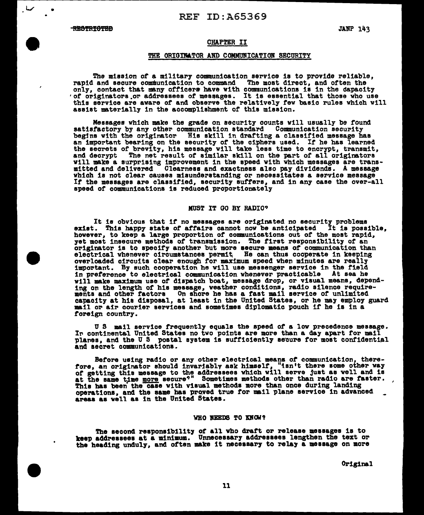•

•

•

#### CHAPTER II

#### THE ORIGINATOR AND COMMUNICATION SECURITY

The miaaion *ot* a military communication aervice ia to provide reliable, rapid and secure communication to command The moat direct, and often the only, contact that many officers have with communications is in the dapacity only, contact that many diricers have with communications is in the capacity this service are aware of and observe the relatively few basic rules which will assist materially in the accomplishment of this mission.

Messages which make the grade on security counts will usually be found satisfactory by any other communication standard Communication security begins with the originator His skill in drafting a classified message has an important bearing on the security or the ciphers used. If he has learned the secrets of brevity, his message will take less time to encrypt, transmit, and decrypt The net result of similar skill on the part of all originators will make a surprising improvement in the speed with which messages are trans-<br>mitted and delivered Clearness and exactness also pay dividends. A message which is not clear causes misunderstanding or necessitates a service message If the messages are classified, security suffers, and in any case the over-all speed or communications is reduced proportionately

#### MUST IT GO BY RADIO~

It is obvious that if no messages are originated no security problems<br>exist. This happy state of affairs cannot now be anticipated It is possible,<br>however, to keep a large proportion of communications out of the most rapid yet most insecure methods *ot* transmission. The first responsibility of an originator is to specify another but more secure means of communication than electrical whenever circumstances permit He can thus cooperate in keeping overloaded circuits clear enough for maximum speed when minutes are really important. By such cooperation he will use messenger service in the field in preference to electrical communication whenever practicable At sea he will make maximum use of dispatch boat, message drop, or visual means, depend-<br>ing on the length of his message, weather conditions, radio silence requirements and other factors On shore he has a fast mail service of unlimited capacity at hia diaposal, at least in the United States, or he may employ guard mail or air courier services and sometimes diplomatic pouch if he is in a foreign country.

U S mail service frequently equals the speed of a lov precedence message. In continental United States no two points are more than a day apart for mail planes, and the U S postal system is sufficiently secure for most confidential and secret communications.

Before using radio or any other electrical means *of* communication, therefore, an originator should invariably ask himself, "isn't there some other way<br>of getting this message to the addressees which will serve just as well and is at the same time more secure?" Sometimes methods other than radio are faster. This has been the case with visual methods more than once during landing operations, and the same has proved true for mail plane service in advanced areas as well as in the United States.

#### WHO NEEDS TO KNOW?

The second responsibi11t1 *ot* all vho draft or release messages ia to 'keep addreasees at a minimum. Unnecessary addressees lengthen the text or the heading unduly, and often make it necessary to relay a message on more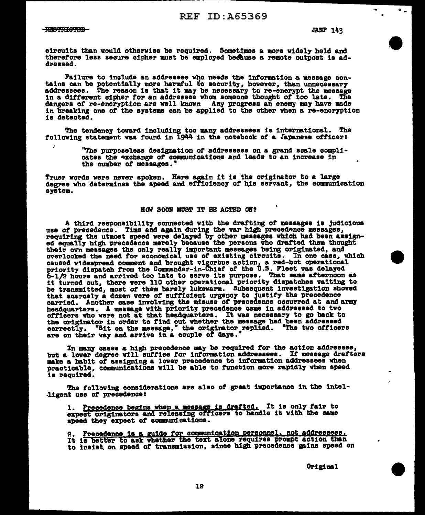$\ddot{\bullet}$ .

•

circuits than would otherwise be required. Sometimes a more widely held and therefore less secure cipher must be employed bedkuse a remote outpost is addressed.

Failure to include an addressee who needs the information a message contains can be potentially more harmful to security, however, than unnecessary tains can be potentially more harmful to security, however, than unnecessary addressees. The reason is that it may be necessary to re-encrypt the message in a different cipher for an addressee whom someone thought of too late. The dangers of re-encryption are well known Any progress an enemy may have made in breaking one or the systems can be applied to the other vhen a re-encryption is detected.

The tendency toward including too many addressees is international. The rolloving statement was round in 1944 in the notebook *ot* a Japanese officer:

> "The purposeless designation of addressees on a grand scale complicates the ~xchange *ot* communications and leads to an increase in the number of messages.

Truer words were never spoken. Here again it is the originator to a large degree who determines the speed and efficiency of his servant, the communication system.

#### HOW SOON MUST IT BE ACTED ON?

A third responsibility connected with the dratting *ot* messages is judicious requiring the utmost speed were delayed by other messages which had been assigned equally high precedence merely because the persons who drafted them thought their own messages the only really important messages being orig overlooked the need tor economical use or existing circuits. In one case, which caused widespread comment and brought vigorous action, a red-hot operational<br>priority dispatch from the Commander-in-Chief of the U.S. Fleet was delayed<br>6-1/2 hours and arrived too late to serve its purpose. That same afte o-i/2 nours and arrived too late to serve its purpose. That same arternoon as<br>it turned out, there were 110 other operational priority dispatches waiting to be transmitted, most *ot* them 'barel7 lukewarm. Subsequent investigation shoved that scarcely a dozen were of sufficient urgency to justify the precedence<br>carried. Another case involving the misuse of precedence occurred at and army<br>headquarters. A message with priority precedence came in addressed to otticers vho were not at that headquarters. It vas necessary to go back to the originator in order to find out whether the message bad been addressed correctly. "Sit on the message," the originator replied. "The tvo officers are on their way and arrive in a couple *ot* days."

In many cases a high precedence may be required tor the action addressee, but a lover degree will suttice tor 1ntormation addressees. It message drafters make a habit of assigning a lover precedence to information addressees when practicable, communicationa will be able to function more rapidly when speed is required.

The following considerations are also of great importance in the intel--1.igent use *or* precedence:

1. Precedence begins when a message is drafted. It is only fair to expect originators and releasing officers to handle it with the same speed they expect of communications.

Precedence is a guide for communication personnel, not addressees. 2. Frecedence is a guide for communication personnel, not addressed:<br>It is better to ask whether the text alone requires prompt action than to insist on speed *ot* transmission, since high precedence gains speed on

Ortg1ml

•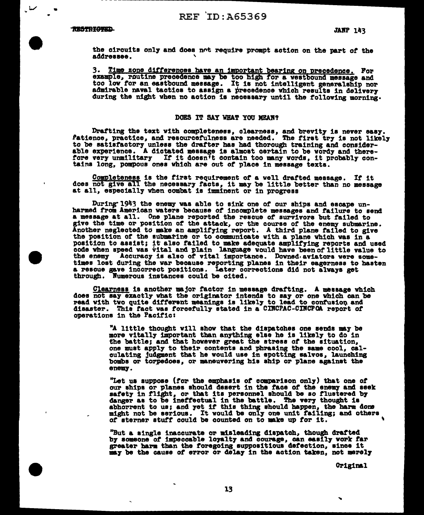**RESTRICTED** 

the circuits only and does not require prompt action on the part of the addressee.

3. Time zone differences have an important bearing on precedence. For example, routine precedence may be too high for a westbound message and too low for an eastbound message. It is not intelligent generalship nor admirable naval tactics to assign a precedence which results in delivery during the night when no action is necessary until the following morning.

#### DOES IT SAY WHAT YOU MEAN?

Drafting the text with completeness, clearness, and brevity is never easy.<br>fatience, practice, and resourcefulness are needed. The first try is not likely to be satisfactory unless the drafter has had thorough training and considerable experience. A dictated message is almost certain to be wordy and there-<br>fore very unmilitary If it doesn't contain too many words, it probably contains long, pompous ones which are out of place in message texts.

Completeness is the first requirement of a well drafted message. If it does not give all the necessary facts, it may be little better than no message at all, especially when combat is imminent or in progress

During 1943 the enemy was able to sink one of our ships and escape unharmed from American waters because of incomplete messages and failure to send a message at all. One plane reported the rescue of survivors but failed to give the time or position of the attack, or the course of the enemy submarine. Another neglected to make an amplifying report. A third plane failed to give the position of the submarine or to communicate with a plane which was in a position to assist; it also failed to make adequate amplifying reports and used code when speed was vital and plain language would have been of little value to the enemy Accuracy is also of vital importance. Downed aviators were sometimes lost during the war because reporting planes in their eagerness to hasten a rescue gave incorrect positions. Later corrections did not always get through. Numerous instances could be cited.

Clearness is another major factor in message drafting. A message which does not say exactly what the originator intends to say or one which can be<br>read with two quite different meanings is likely to lead to confusion and<br>disaster. This fact was forcefully stated in a CINCPAC-CINCPOA report of operations in the Pacific:

> "A little thought will show that the dispatches one sends may be more vitally important than anything else he is likely to do in the battle; and that however great the stress of the situation, one must apply to their contents and phrasing the same cool, calculating judgment that he would use in spotting salvos, launching bombs or torpedoes, or maneuvering his ship or plane against the enemy.

"Let us suppose (for the emphasis of comparison only) that one of our ships or planes should desert in the face of the enemy and seek safety in flight, or that its personnel should be so flustered by danger as to be ineffectual in the battle. The very thought is<br>abhorrent to us; and yet if this thing should happen, the harm done<br>might not be serious. It would be only one unit failing; and others<br>of sterner stuff could

"But a single inaccurate or misleading dispatch, though drafted<br>by someone of impeccable loyalty and courage, can easily work far<br>greater harm than the foregoing suppositious defection, since it<br>may be the cause of error o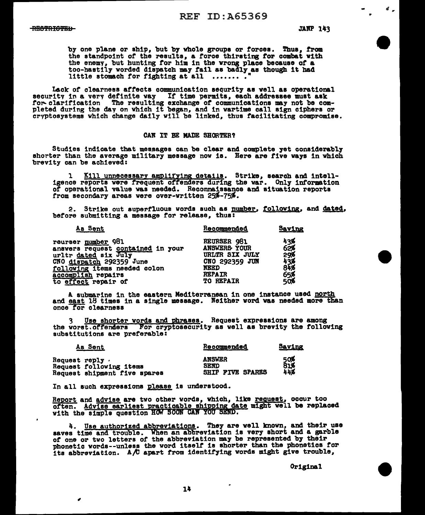.. -,,. •

•

by one plane or ship, but by whole groups or forces. Thus, from the standpoint or the results, a rorce thirsting tor combat with the enemy, but hunting for him in the wrong place because *ot* a too-hastily worded dispatch may fail as badly as though it bad little stomach for fighting at all  $\ldots \ldots$ .

Lack of clearness affects communication sequrity as well as operational security in a very definite way Ir time permits, each addressee must ask for-clarification The resulting exchange or communications may not be com-pleted during the day on which it began, and in wartime call sign ciphers or cryptosystems which change daily will be linked, thus facilitating compromise.

#### CAN IT BE MADE SHORTER?

Studies indicate that messages can be clear and complete yet considerably shorter than the average military message now is. Here are five ways in which brevity can be achieved:

1 Kill unnecessary amplifying details. Strike, search and intelligence reports were frequent offenders during the war. Only information of operational value was needed. Reconnaissance and situation reports from secondary areas were over-written 25%-75%.

2. Strike out superfluous words such as number, following, and dated, before submitting a message for release, thus:

| As Sent                                                                                                                                                                                          | Recommended                                                                                                                       | <b>Saving</b>                                 |
|--------------------------------------------------------------------------------------------------------------------------------------------------------------------------------------------------|-----------------------------------------------------------------------------------------------------------------------------------|-----------------------------------------------|
| reurser <u>num</u> ber 981<br>answers request contained in your<br>urltr dated six July<br>CNO dispatch 292359 June<br>following items needed colon<br>accomplish repairs<br>to effect repair of | <b>REURSER 981</b><br><b>ANSWERS YOUR</b><br>URLTR SIX JULY<br>CNO 292359 JUN<br><b>NEED</b><br><b>REPAIR</b><br><b>TO REPAIR</b> | 43%<br>62%<br>29%<br>43%<br>84%<br>65%<br>50% |

A submarine in the eastern Mediterranean in one instance used north and east 18 times in a single message. Neither word was needed more than once for clearness

3 Use shorter words and phrases. Request expressions are among the worst.offenders For cryptosecurity as well as brevity the following substitutions are preferable:

| As Sent                                                                    | Recommended                                             | Saving            |
|----------------------------------------------------------------------------|---------------------------------------------------------|-------------------|
| Request reply .<br>Request following items<br>Request shipment five spares | <b>ANSWER</b><br><b>SEND</b><br><b>SHIP FIVE SPARES</b> | 50%<br>81%<br>44% |

In all such expressions please is understood.

Report and advise are two other words, which, like request, occur too notic dimensions of the shape of the shipping date might well be replaced with the simple question HOW SOON CAN YOU SEND.

4. Use authorized abbreviations. They are well known, and their use saves time and trouble. When an abbreviation is very short and a garble of one or two letters of the abbreviation may be represented by their phonetic vords--unless the word itself is shorter than the phonetics tor its abbreviation. A/C apart from identifying words might give trouble,

Original

•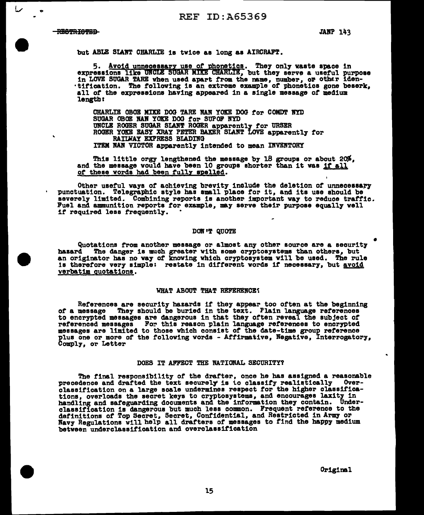-RBOTRIOTED

**JANP 143** 

but ABLE SIANT CHARLIE is twice as long as AIRCRAFT.

5. Avoid unnecessary use of phonetics. They only waste space in<br>expressions like UNCLE SUGAR MIKE CHARLIE, but they serve a useful purpose<br>in LOVE SUGAR TARE when used apart from the name, number, or other iden-<br>'tificatio length:

CHARLIE OBOE MIKE DOG TARE NAN YOKE DOG for COMDT NYD SUGAR OBOE NAN YOKE DOG for SUPOF NYD UNCLE ROGER SUGAR SLANT ROGER apparently for URSER ROGER YOKE EASY XRAY PETER BAKER SLANT LOVE apparently for RAILWAY EXPRESS BLADING ITEM NAN VICTOR apparently intended to mean INVENTORY

This little orgy lengthened the message by 18 groups or about 20%, and the message would have been 10 groups shorter than it was if all of these words had been fully spelled.

Other useful ways of achieving brevity include the deletion of unnecessary punctuation. Telegraphic style has small place for it, and its use should be severely limited. Combining reports is another important way to reduce traffic. Fuel and ammunition reports for example, may serve their purpose equally well if required less frequently.

#### DON'T OUOTE

Quotations from another message or almost any other source are a security hazard The danger is much greater with some cryptosystems than others, but<br>an originator has no way of knowing which cryptosystem will be used. The rule is therefore very simple: restate in different words if necessary, but avoid verbatim quotations.

#### WHAT ABOUT THAT REFERENCE?

References are security hazards if they appear too often at the beginning They should be buried in the text. Plain language references of a message to encrypted messages are dangerous in that they often reveal the subject of referenced messages For this reason plain language references to encrypted messages are limited to those which consist of the date-time group reference plus one or more of the following words - Affirmative, Negative, Interrogatory, Comply, or Letter

#### DOES IT AFFECT THE NATIONAL SECURITY?

The final responsibility of the drafter, once he has assigned a reasonable precedence and drafted the text securely is to classify realistically Overclassification on a large scale undermines respect for the higher classifications, overloads the secret keys to cryptosystems, and encourages laxity in handling and safeguarding documents and the information they contain. Underclassification is dangerous but much less common. Frequent reference to the definitions of Top Secret, Secret, Confidential, and Restricted in Army or Navy Regulations will help all drafters of messages to find the happy medium between underclassification and overclassification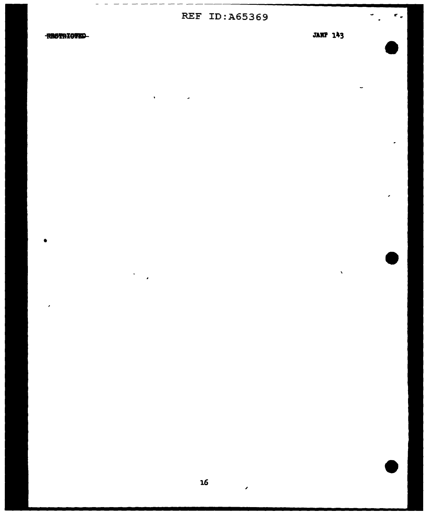100999109950-

**JANP 143** 

÷

a.

 $\epsilon$  .

 $\lambda$